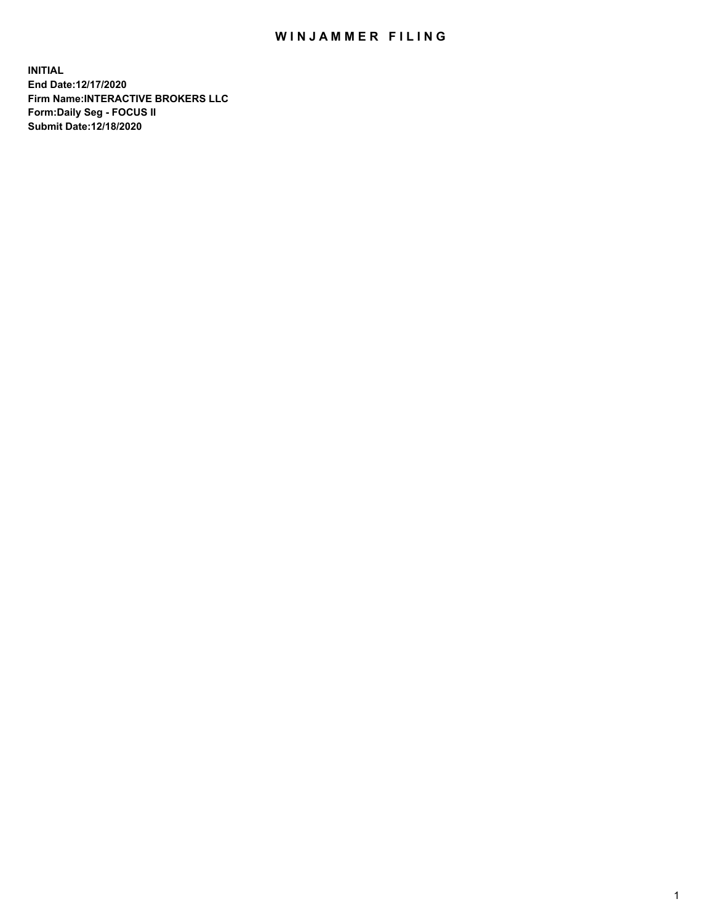## WIN JAMMER FILING

**INITIAL End Date:12/17/2020 Firm Name:INTERACTIVE BROKERS LLC Form:Daily Seg - FOCUS II Submit Date:12/18/2020**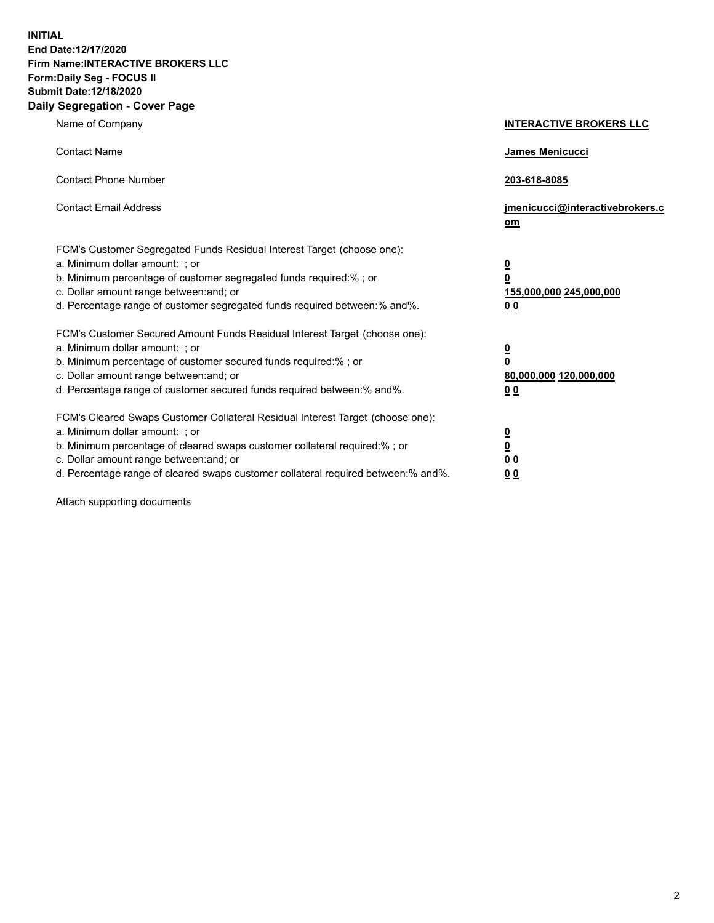**INITIAL End Date:12/17/2020 Firm Name:INTERACTIVE BROKERS LLC Form:Daily Seg - FOCUS II Submit Date:12/18/2020 Daily Segregation - Cover Page**

| Name of Company                                                                                                                                                                                                                                                                                                                | <b>INTERACTIVE BROKERS LLC</b>                                                  |  |
|--------------------------------------------------------------------------------------------------------------------------------------------------------------------------------------------------------------------------------------------------------------------------------------------------------------------------------|---------------------------------------------------------------------------------|--|
| <b>Contact Name</b>                                                                                                                                                                                                                                                                                                            | James Menicucci                                                                 |  |
| <b>Contact Phone Number</b>                                                                                                                                                                                                                                                                                                    | 203-618-8085                                                                    |  |
| <b>Contact Email Address</b>                                                                                                                                                                                                                                                                                                   | jmenicucci@interactivebrokers.c<br>om                                           |  |
| FCM's Customer Segregated Funds Residual Interest Target (choose one):<br>a. Minimum dollar amount: ; or<br>b. Minimum percentage of customer segregated funds required:%; or<br>c. Dollar amount range between: and; or<br>d. Percentage range of customer segregated funds required between:% and%.                          | <u>0</u><br>$\overline{\mathbf{0}}$<br>155,000,000 245,000,000<br><u>00</u>     |  |
| FCM's Customer Secured Amount Funds Residual Interest Target (choose one):<br>a. Minimum dollar amount: ; or<br>b. Minimum percentage of customer secured funds required:% ; or<br>c. Dollar amount range between: and; or<br>d. Percentage range of customer secured funds required between:% and%.                           | <u>0</u><br>$\overline{\mathbf{0}}$<br>80,000,000 120,000,000<br>0 <sub>0</sub> |  |
| FCM's Cleared Swaps Customer Collateral Residual Interest Target (choose one):<br>a. Minimum dollar amount: ; or<br>b. Minimum percentage of cleared swaps customer collateral required:% ; or<br>c. Dollar amount range between: and; or<br>d. Percentage range of cleared swaps customer collateral required between:% and%. | <u>0</u><br>$\underline{\mathbf{0}}$<br>0 <sub>0</sub><br>0 <sub>0</sub>        |  |

Attach supporting documents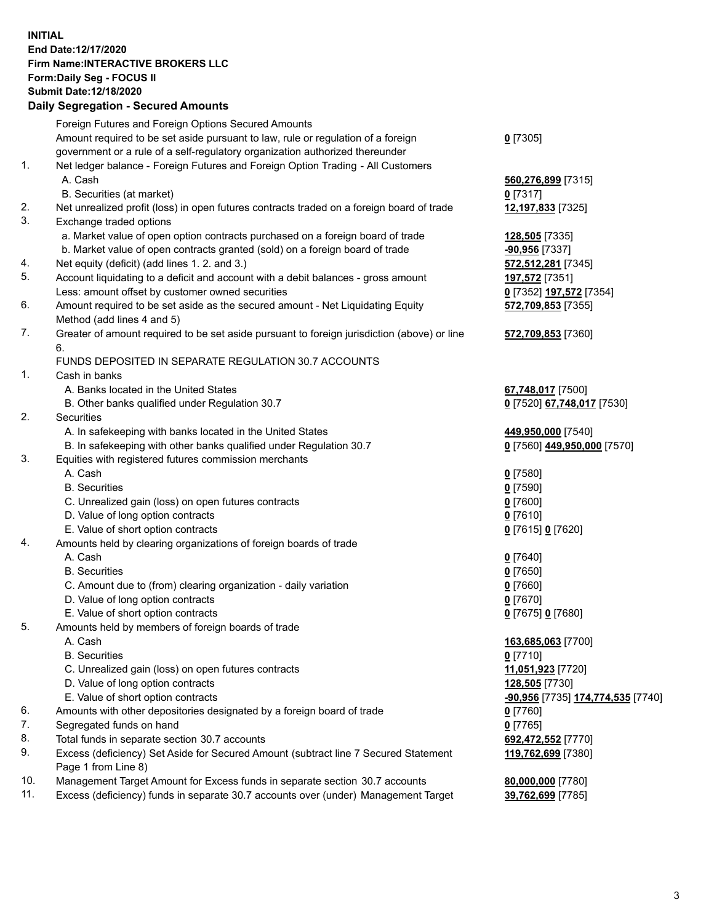**INITIAL End Date:12/17/2020 Firm Name:INTERACTIVE BROKERS LLC Form:Daily Seg - FOCUS II Submit Date:12/18/2020 Daily Segregation - Secured Amounts**

## Foreign Futures and Foreign Options Secured Amounts Amount required to be set aside pursuant to law, rule or regulation of a foreign government or a rule of a self-regulatory organization authorized thereunder **0** [7305] 1. Net ledger balance - Foreign Futures and Foreign Option Trading - All Customers A. Cash **560,276,899** [7315] B. Securities (at market) **0** [7317] 2. Net unrealized profit (loss) in open futures contracts traded on a foreign board of trade **12,197,833** [7325] 3. Exchange traded options a. Market value of open option contracts purchased on a foreign board of trade **128,505** [7335] b. Market value of open contracts granted (sold) on a foreign board of trade **-90,956** [7337] 4. Net equity (deficit) (add lines 1. 2. and 3.) **572,512,281** [7345] 5. Account liquidating to a deficit and account with a debit balances - gross amount **197,572** [7351] Less: amount offset by customer owned securities **0** [7352] **197,572** [7354] 6. Amount required to be set aside as the secured amount - Net Liquidating Equity Method (add lines 4 and 5) **572,709,853** [7355] 7. Greater of amount required to be set aside pursuant to foreign jurisdiction (above) or line 6. **572,709,853** [7360] FUNDS DEPOSITED IN SEPARATE REGULATION 30.7 ACCOUNTS 1. Cash in banks A. Banks located in the United States **67,748,017** [7500] B. Other banks qualified under Regulation 30.7 **0** [7520] **67,748,017** [7530] 2. Securities A. In safekeeping with banks located in the United States **449,950,000** [7540] B. In safekeeping with other banks qualified under Regulation 30.7 **0** [7560] **449,950,000** [7570] 3. Equities with registered futures commission merchants A. Cash **0** [7580] B. Securities **0** [7590] C. Unrealized gain (loss) on open futures contracts **0** [7600] D. Value of long option contracts **0** [7610] E. Value of short option contracts **0** [7615] **0** [7620] 4. Amounts held by clearing organizations of foreign boards of trade A. Cash **0** [7640] B. Securities **0** [7650] C. Amount due to (from) clearing organization - daily variation **0** [7660] D. Value of long option contracts **0** [7670] E. Value of short option contracts **0** [7675] **0** [7680] 5. Amounts held by members of foreign boards of trade A. Cash **163,685,063** [7700] B. Securities **0** [7710] C. Unrealized gain (loss) on open futures contracts **11,051,923** [7720] D. Value of long option contracts **128,505** [7730] E. Value of short option contracts **-90,956** [7735] **174,774,535** [7740] 6. Amounts with other depositories designated by a foreign board of trade **0** [7760] 7. Segregated funds on hand **0** [7765] 8. Total funds in separate section 30.7 accounts **692,472,552** [7770] 9. Excess (deficiency) Set Aside for Secured Amount (subtract line 7 Secured Statement Page 1 from Line 8) **119,762,699** [7380] 10. Management Target Amount for Excess funds in separate section 30.7 accounts **80,000,000** [7780] 11. Excess (deficiency) funds in separate 30.7 accounts over (under) Management Target **39,762,699** [7785]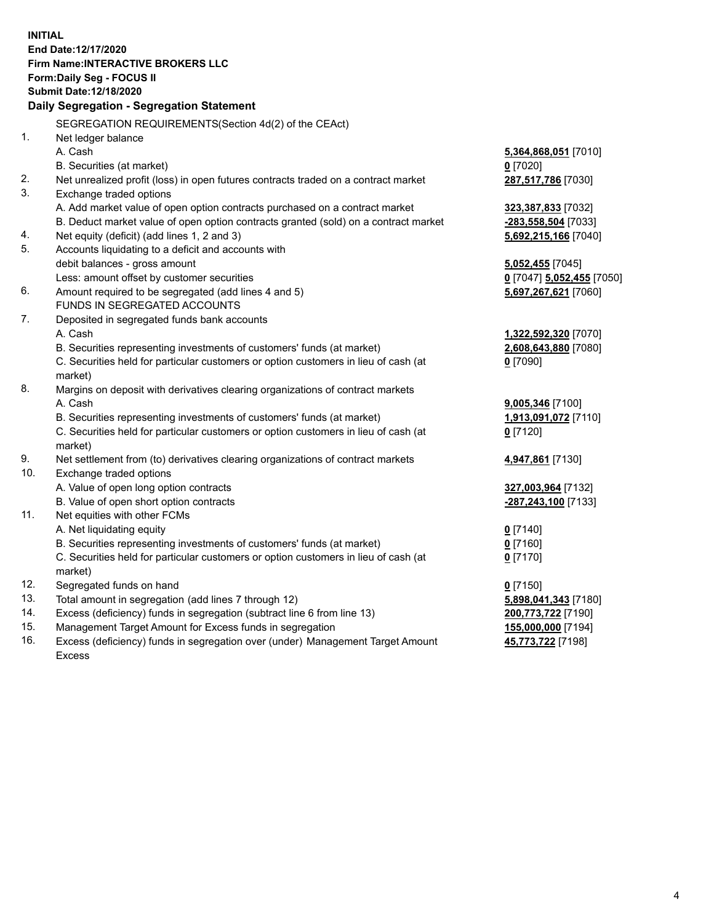**INITIAL End Date:12/17/2020 Firm Name:INTERACTIVE BROKERS LLC Form:Daily Seg - FOCUS II Submit Date:12/18/2020 Daily Segregation - Segregation Statement** SEGREGATION REQUIREMENTS(Section 4d(2) of the CEAct) 1. Net ledger balance A. Cash **5,364,868,051** [7010] B. Securities (at market) **0** [7020] 2. Net unrealized profit (loss) in open futures contracts traded on a contract market **287,517,786** [7030] 3. Exchange traded options A. Add market value of open option contracts purchased on a contract market **323,387,833** [7032] B. Deduct market value of open option contracts granted (sold) on a contract market **-283,558,504** [7033] 4. Net equity (deficit) (add lines 1, 2 and 3) **5,692,215,166** [7040] 5. Accounts liquidating to a deficit and accounts with debit balances - gross amount **5,052,455** [7045] Less: amount offset by customer securities **0** [7047] **5,052,455** [7050] 6. Amount required to be segregated (add lines 4 and 5) **5,697,267,621** [7060] FUNDS IN SEGREGATED ACCOUNTS 7. Deposited in segregated funds bank accounts A. Cash **1,322,592,320** [7070] B. Securities representing investments of customers' funds (at market) **2,608,643,880** [7080] C. Securities held for particular customers or option customers in lieu of cash (at market) **0** [7090] 8. Margins on deposit with derivatives clearing organizations of contract markets A. Cash **9,005,346** [7100] B. Securities representing investments of customers' funds (at market) **1,913,091,072** [7110] C. Securities held for particular customers or option customers in lieu of cash (at market) **0** [7120] 9. Net settlement from (to) derivatives clearing organizations of contract markets **4,947,861** [7130] 10. Exchange traded options A. Value of open long option contracts **327,003,964** [7132] B. Value of open short option contracts **-287,243,100** [7133] 11. Net equities with other FCMs A. Net liquidating equity **0** [7140] B. Securities representing investments of customers' funds (at market) **0** [7160] C. Securities held for particular customers or option customers in lieu of cash (at market) **0** [7170] 12. Segregated funds on hand **0** [7150] 13. Total amount in segregation (add lines 7 through 12) **5,898,041,343** [7180] 14. Excess (deficiency) funds in segregation (subtract line 6 from line 13) **200,773,722** [7190] 15. Management Target Amount for Excess funds in segregation **155,000,000** [7194] **45,773,722** [7198]

16. Excess (deficiency) funds in segregation over (under) Management Target Amount Excess